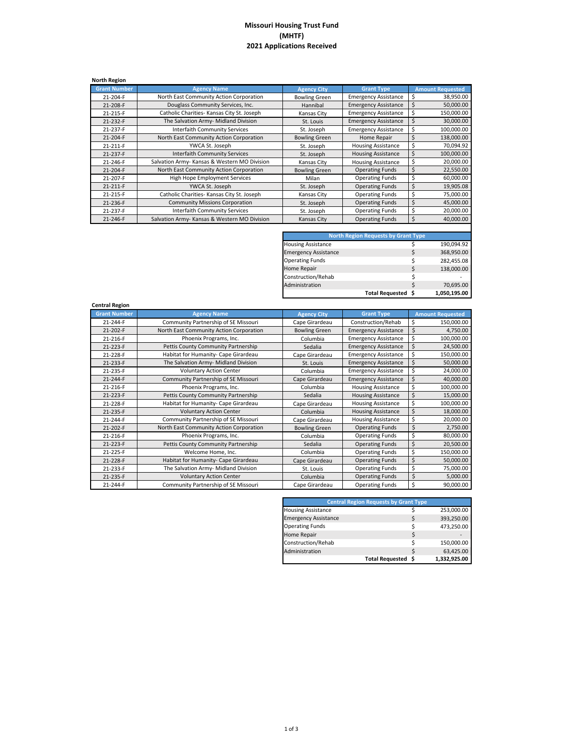## **Missouri Housing Trust Fund (MHTF) 2021 Applications Received**

| <b>North Region</b> |                                              |                      |                             |                         |
|---------------------|----------------------------------------------|----------------------|-----------------------------|-------------------------|
| <b>Grant Number</b> | <b>Agency Name</b>                           | <b>Agency City</b>   | <b>Grant Type</b>           | <b>Amount Requested</b> |
| 21-204-F            | North East Community Action Corporation      | <b>Bowling Green</b> | <b>Emergency Assistance</b> | \$<br>38,950.00         |
| 21-208-F            | Douglass Community Services, Inc.            | Hannibal             | <b>Emergency Assistance</b> | \$<br>50,000.00         |
| 21-215-F            | Catholic Charities- Kansas City St. Joseph   | Kansas City          | <b>Emergency Assistance</b> | \$<br>150,000.00        |
| 21-232-F            | The Salvation Army- Midland Division         | St. Louis            | <b>Emergency Assistance</b> | \$<br>30,000.00         |
| 21-237-F            | <b>Interfaith Community Services</b>         | St. Joseph           | <b>Emergency Assistance</b> | \$<br>100,000.00        |
| 21-204-F            | North East Community Action Corporation      | <b>Bowling Green</b> | Home Repair                 | Ś<br>138,000.00         |
| 21-211-F            | YWCA St. Joseph                              | St. Joseph           | <b>Housing Assistance</b>   | \$<br>70,094.92         |
| 21-237-F            | <b>Interfaith Community Services</b>         | St. Joseph           | <b>Housing Assistance</b>   | \$<br>100,000.00        |
| 21-246-F            | Salvation Army- Kansas & Western MO Division | Kansas City          | <b>Housing Assistance</b>   | \$<br>20,000.00         |
| 21-204-F            | North East Community Action Corporation      | <b>Bowling Green</b> | <b>Operating Funds</b>      | \$<br>22,550.00         |
| 21-207-F            | High Hope Employment Services                | Milan                | <b>Operating Funds</b>      | \$<br>60,000.00         |
| 21-211-F            | YWCA St. Joseph                              | St. Joseph           | <b>Operating Funds</b>      | \$<br>19,905.08         |
| 21-215-F            | Catholic Charities- Kansas City St. Joseph   | Kansas City          | <b>Operating Funds</b>      | \$<br>75,000.00         |
| 21-236-F            | <b>Community Missions Corporation</b>        | St. Joseph           | <b>Operating Funds</b>      | \$<br>45,000.00         |
| 21-237-F            | <b>Interfaith Community Services</b>         | St. Joseph           | <b>Operating Funds</b>      | \$<br>20,000.00         |
| 21-246-F            | Salvation Army- Kansas & Western MO Division | Kansas City          | <b>Operating Funds</b>      | \$<br>40.000.00         |

| <b>North Region Requests by Grant Type</b> |    |                    |  |  |  |
|--------------------------------------------|----|--------------------|--|--|--|
|                                            | \$ | 190,094.92         |  |  |  |
|                                            | \$ | 368,950.00         |  |  |  |
|                                            | \$ | 282,455.08         |  |  |  |
|                                            | \$ | 138,000.00         |  |  |  |
|                                            | \$ |                    |  |  |  |
|                                            | Ś  | 70,695.00          |  |  |  |
|                                            |    | 1,050,195.00       |  |  |  |
|                                            |    | Total Requested \$ |  |  |  |

| <b>Central Region</b> |                                         |                      |                             |                         |
|-----------------------|-----------------------------------------|----------------------|-----------------------------|-------------------------|
| <b>Grant Number</b>   | <b>Agency Name</b>                      | <b>Agency City</b>   | <b>Grant Type</b>           | <b>Amount Requested</b> |
| 21-244-F              | Community Partnership of SE Missouri    | Cape Girardeau       | Construction/Rehab          | \$<br>150,000.00        |
| 21-202-F              | North East Community Action Corporation | <b>Bowling Green</b> | <b>Emergency Assistance</b> | \$<br>4,750.00          |
| 21-216-F              | Phoenix Programs, Inc.                  | Columbia             | <b>Emergency Assistance</b> | \$<br>100,000.00        |
| 21-223-F              | Pettis County Community Partnership     | Sedalia              | <b>Emergency Assistance</b> | \$<br>24,500.00         |
| 21-228-F              | Habitat for Humanity- Cape Girardeau    | Cape Girardeau       | <b>Emergency Assistance</b> | \$<br>150,000.00        |
| 21-233-F              | The Salvation Army- Midland Division    | St. Louis            | <b>Emergency Assistance</b> | \$<br>50,000.00         |
| 21-235-F              | <b>Voluntary Action Center</b>          | Columbia             | <b>Emergency Assistance</b> | \$<br>24,000.00         |
| 21-244-F              | Community Partnership of SE Missouri    | Cape Girardeau       | <b>Emergency Assistance</b> | \$<br>40,000.00         |
| 21-216-F              | Phoenix Programs, Inc.                  | Columbia             | <b>Housing Assistance</b>   | \$<br>100,000.00        |
| 21-223-F              | Pettis County Community Partnership     | Sedalia              | <b>Housing Assistance</b>   | \$<br>15,000.00         |
| 21-228-F              | Habitat for Humanity- Cape Girardeau    | Cape Girardeau       | <b>Housing Assistance</b>   | \$<br>100,000.00        |
| 21-235-F              | <b>Voluntary Action Center</b>          | Columbia             | <b>Housing Assistance</b>   | \$<br>18,000.00         |
| 21-244-F              | Community Partnership of SE Missouri    | Cape Girardeau       | <b>Housing Assistance</b>   | \$<br>20,000.00         |
| 21-202-F              | North East Community Action Corporation | <b>Bowling Green</b> | <b>Operating Funds</b>      | \$<br>2,750.00          |
| 21-216-F              | Phoenix Programs, Inc.                  | Columbia             | <b>Operating Funds</b>      | \$<br>80,000.00         |
| 21-223-F              | Pettis County Community Partnership     | Sedalia              | <b>Operating Funds</b>      | \$<br>20,500.00         |
| 21-225-F              | Welcome Home, Inc.                      | Columbia             | <b>Operating Funds</b>      | \$<br>150,000.00        |
| 21-228-F              | Habitat for Humanity- Cape Girardeau    | Cape Girardeau       | <b>Operating Funds</b>      | \$<br>50,000.00         |
| 21-233-F              | The Salvation Army- Midland Division    | St. Louis            | <b>Operating Funds</b>      | \$<br>75,000.00         |
| 21-235-F              | <b>Voluntary Action Center</b>          | Columbia             | <b>Operating Funds</b>      | \$<br>5,000.00          |
| 21-244-F              | Community Partnership of SE Missouri    | Cape Girardeau       | <b>Operating Funds</b>      | \$<br>90,000.00         |

| <b>Central Region Requests by Grant Type</b> |                    |    |              |  |  |
|----------------------------------------------|--------------------|----|--------------|--|--|
| <b>Housing Assistance</b>                    |                    |    | 253,000.00   |  |  |
| <b>Emergency Assistance</b>                  |                    | \$ | 393,250.00   |  |  |
| <b>Operating Funds</b>                       |                    | Ś  | 473,250.00   |  |  |
| Home Repair                                  |                    | \$ |              |  |  |
| Construction/Rehab                           |                    | Ś  | 150,000.00   |  |  |
| Administration                               |                    | Ś  | 63,425.00    |  |  |
|                                              | Total Requested \$ |    | 1,332,925.00 |  |  |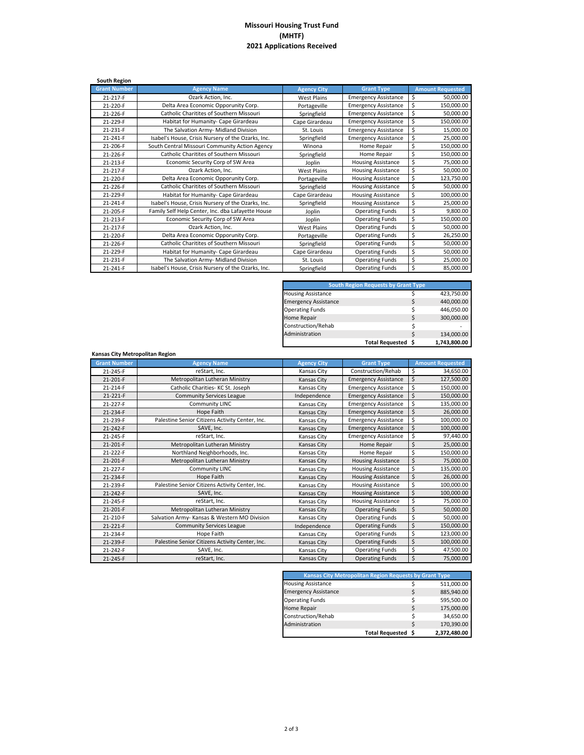## **Missouri Housing Trust Fund (MHTF) 2021 Applications Received**

| South Region        |                                                    |                    |                             |                         |
|---------------------|----------------------------------------------------|--------------------|-----------------------------|-------------------------|
| <b>Grant Number</b> | <b>Agency Name</b>                                 | <b>Agency City</b> | <b>Grant Type</b>           | <b>Amount Requested</b> |
| 21-217-F            | Ozark Action, Inc.                                 | <b>West Plains</b> | <b>Emergency Assistance</b> | \$<br>50,000.00         |
| 21-220-F            | Delta Area Economic Opporunity Corp.               | Portageville       | <b>Emergency Assistance</b> | \$<br>150,000.00        |
| 21-226-F            | Catholic Charitites of Southern Missouri           | Springfield        | <b>Emergency Assistance</b> | \$<br>50,000.00         |
| 21-229-F            | Habitat for Humanity- Cape Girardeau               | Cape Girardeau     | <b>Emergency Assistance</b> | \$<br>150,000.00        |
| 21-231-F            | The Salvation Army- Midland Division               | St. Louis          | <b>Emergency Assistance</b> | \$<br>15,000.00         |
| 21-241-F            | Isabel's House, Crisis Nursery of the Ozarks, Inc. | Springfield        | <b>Emergency Assistance</b> | \$<br>25,000.00         |
| 21-206-F            | South Central Missouri Community Action Agency     | Winona             | Home Repair                 | \$<br>150,000.00        |
| 21-226-F            | Catholic Charitites of Southern Missouri           | Springfield        | Home Repair                 | \$<br>150,000.00        |
| 21-213-F            | Economic Security Corp of SW Area                  | Joplin             | <b>Housing Assistance</b>   | \$<br>75,000.00         |
| 21-217-F            | Ozark Action, Inc.                                 | <b>West Plains</b> | <b>Housing Assistance</b>   | \$<br>50,000.00         |
| 21-220-F            | Delta Area Economic Opporunity Corp.               | Portageville       | <b>Housing Assistance</b>   | \$<br>123,750.00        |
| 21-226-F            | Catholic Charitites of Southern Missouri           | Springfield        | <b>Housing Assistance</b>   | \$<br>50,000.00         |
| 21-229-F            | Habitat for Humanity- Cape Girardeau               | Cape Girardeau     | <b>Housing Assistance</b>   | \$<br>100,000.00        |
| 21-241-F            | Isabel's House, Crisis Nursery of the Ozarks, Inc. | Springfield        | <b>Housing Assistance</b>   | \$<br>25,000.00         |
| 21-205-F            | Family Self Help Center, Inc. dba Lafayette House  | Joplin             | <b>Operating Funds</b>      | \$<br>9,800.00          |
| 21-213-F            | Economic Security Corp of SW Area                  | Joplin             | <b>Operating Funds</b>      | \$<br>150,000.00        |
| 21-217-F            | Ozark Action, Inc.                                 | <b>West Plains</b> | <b>Operating Funds</b>      | \$<br>50,000.00         |
| 21-220-F            | Delta Area Economic Opporunity Corp.               | Portageville       | <b>Operating Funds</b>      | \$<br>26,250.00         |
| 21-226-F            | Catholic Charitites of Southern Missouri           | Springfield        | <b>Operating Funds</b>      | \$<br>50,000.00         |
| 21-229-F            | Habitat for Humanity- Cape Girardeau               | Cape Girardeau     | <b>Operating Funds</b>      | \$<br>50,000.00         |
| 21-231-F            | The Salvation Army- Midland Division               | St. Louis          | <b>Operating Funds</b>      | \$<br>25,000.00         |
| 21-241-F            | Isabel's House, Crisis Nursery of the Ozarks, Inc. | Springfield        | <b>Operating Funds</b>      | \$<br>85,000.00         |

| <b>South Region Requests by Grant Type</b> |                    |    |              |  |  |
|--------------------------------------------|--------------------|----|--------------|--|--|
| <b>Housing Assistance</b>                  |                    | ς  | 423,750.00   |  |  |
| <b>Emergency Assistance</b>                |                    | Ś  | 440,000.00   |  |  |
| <b>Operating Funds</b>                     |                    | Ś  | 446,050.00   |  |  |
| Home Repair                                |                    | \$ | 300,000.00   |  |  |
| Construction/Rehab                         |                    | Ś  |              |  |  |
| Administration                             |                    | \$ | 134,000.00   |  |  |
|                                            | Total Requested \$ |    | 1,743,800.00 |  |  |

| Kansas City Metropolitan Region |                                                 |                    |                             |                         |
|---------------------------------|-------------------------------------------------|--------------------|-----------------------------|-------------------------|
| <b>Grant Number</b>             | <b>Agency Name</b>                              | <b>Agency City</b> | <b>Grant Type</b>           | <b>Amount Requested</b> |
| 21-245-F                        | reStart, Inc.                                   | Kansas City        | Construction/Rehab          | \$<br>34,650.00         |
| 21-201-F                        | Metropolitan Lutheran Ministry                  | Kansas City        | <b>Emergency Assistance</b> | \$<br>127,500.00        |
| 21-214-F                        | Catholic Charities- KC St. Joseph               | Kansas City        | <b>Emergency Assistance</b> | \$<br>150,000.00        |
| 21-221-F                        | <b>Community Services League</b>                | Independence       | <b>Emergency Assistance</b> | \$<br>150,000.00        |
| 21-227-F                        | Community LINC                                  | Kansas City        | <b>Emergency Assistance</b> | \$<br>135,000.00        |
| 21-234-F                        | Hope Faith                                      | Kansas City        | <b>Emergency Assistance</b> | \$<br>26,000.00         |
| 21-239-F                        | Palestine Senior Citizens Activity Center, Inc. | Kansas City        | <b>Emergency Assistance</b> | \$<br>100,000.00        |
| 21-242-F                        | SAVE, Inc.                                      | Kansas City        | <b>Emergency Assistance</b> | \$<br>100,000.00        |
| 21-245-F                        | reStart, Inc.                                   | Kansas City        | <b>Emergency Assistance</b> | \$<br>97,440.00         |
| 21-201-F                        | Metropolitan Lutheran Ministry                  | Kansas City        | Home Repair                 | \$<br>25,000.00         |
| 21-222-F                        | Northland Neighborhoods, Inc.                   | Kansas City        | Home Repair                 | \$<br>150,000.00        |
| 21-201-F                        | Metropolitan Lutheran Ministry                  | Kansas City        | <b>Housing Assistance</b>   | \$<br>75,000.00         |
| 21-227-F                        | Community LINC                                  | Kansas City        | <b>Housing Assistance</b>   | \$<br>135,000.00        |
| 21-234-F                        | Hope Faith                                      | Kansas City        | <b>Housing Assistance</b>   | \$<br>26,000.00         |
| 21-239-F                        | Palestine Senior Citizens Activity Center, Inc. | Kansas City        | <b>Housing Assistance</b>   | \$<br>100,000.00        |
| 21-242-F                        | SAVE, Inc.                                      | <b>Kansas City</b> | <b>Housing Assistance</b>   | \$<br>100,000.00        |
| 21-245-F                        | reStart, Inc.                                   | Kansas City        | <b>Housing Assistance</b>   | \$<br>75,000.00         |
| 21-201-F                        | Metropolitan Lutheran Ministry                  | <b>Kansas City</b> | <b>Operating Funds</b>      | \$<br>50,000.00         |
| 21-210-F                        | Salvation Army- Kansas & Western MO Division    | Kansas City        | <b>Operating Funds</b>      | \$<br>50,000.00         |
| 21-221-F                        | <b>Community Services League</b>                | Independence       | <b>Operating Funds</b>      | \$<br>150,000.00        |
| 21-234-F                        | Hope Faith                                      | Kansas City        | <b>Operating Funds</b>      | \$<br>123,000.00        |
| 21-239-F                        | Palestine Senior Citizens Activity Center, Inc. | Kansas City        | <b>Operating Funds</b>      | \$<br>100,000.00        |
| 21-242-F                        | SAVE, Inc.                                      | Kansas City        | <b>Operating Funds</b>      | \$<br>47,500.00         |
| 21-245-F                        | reStart, Inc.                                   | <b>Kansas City</b> | <b>Operating Funds</b>      | \$<br>75,000.00         |

| <b>Kansas City Metropolitan Region Requests by Grant Type</b> |                    |    |              |
|---------------------------------------------------------------|--------------------|----|--------------|
| <b>Housing Assistance</b>                                     |                    | Ś  | 511,000.00   |
| <b>Emergency Assistance</b>                                   |                    | \$ | 885,940.00   |
| <b>Operating Funds</b>                                        |                    | \$ | 595,500.00   |
| Home Repair                                                   |                    | \$ | 175,000.00   |
| Construction/Rehab                                            |                    | Ś  | 34.650.00    |
| Administration                                                |                    | Ś  | 170,390.00   |
|                                                               | Total Requested \$ |    | 2,372,480.00 |